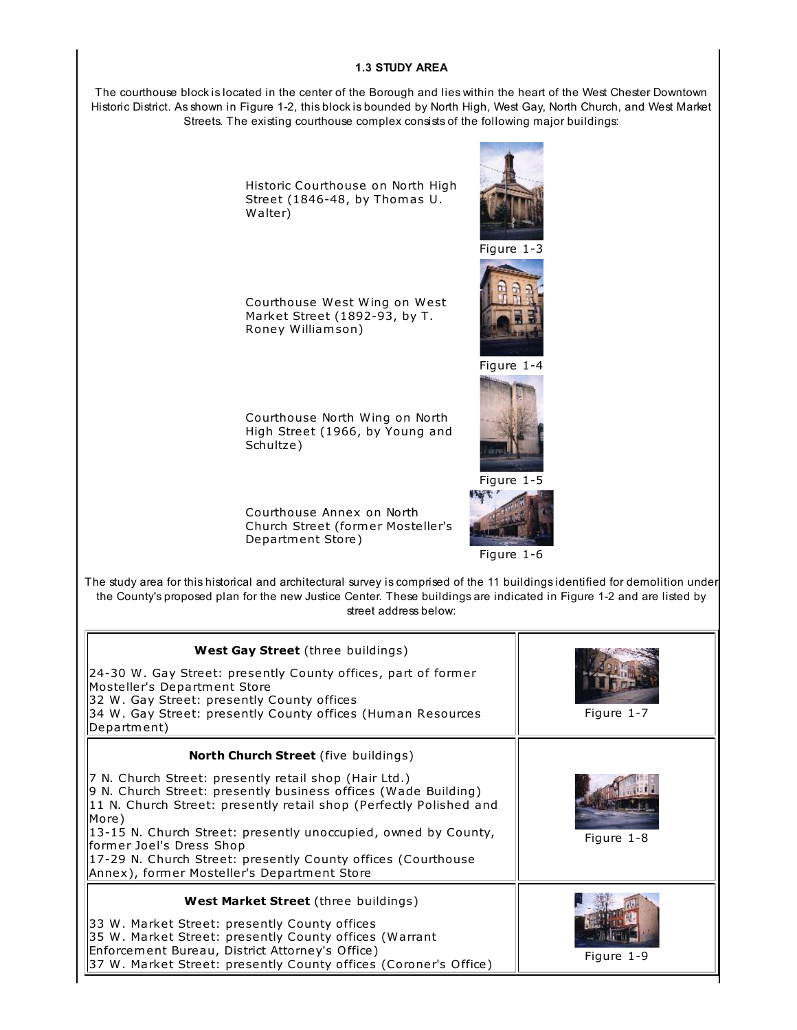## **1.3 STUDY AREA**

The courthouse block is located in the center of the Borough and lies within the heart of the West Chester Downtown Historic District. As shown in Figure 1-2, this block is bounded by North High, West Gay, North Church, and West Market Streets. The existing courthouse complex consists of the following major buildings:

> Historic Courthouse on North High Street (1846-48, by Thomas U. Walter)

Courthouse West Wing on West Market Street (1892-93, by T. Roney William son)



Figure 1-3



Figure 1-4



Courthouse North Wing on North High Street (1966, by Young and Schultze)

Courthouse Annex on North Church Street (former Mosteller's Departm ent Store)

Figure 1-6

Figure 1-5

A Park

The study area for this historical and architectural survey is comprised of the 11 buildings identified for demolition under the County's proposed plan for the new Justice Center. These buildings are indicated in Figure 1-2 and are listed by street address below:

| <b>West Gay Street</b> (three buildings)<br>24-30 W. Gay Street: presently County offices, part of former<br>Mosteller's Department Store<br>32 W. Gay Street: presently County offices<br>34 W. Gay Street: presently County offices (Human Resources                                                                                                                                                                                            | Figure 1-7 |
|---------------------------------------------------------------------------------------------------------------------------------------------------------------------------------------------------------------------------------------------------------------------------------------------------------------------------------------------------------------------------------------------------------------------------------------------------|------------|
| Department)<br><b>North Church Street</b> (five buildings)                                                                                                                                                                                                                                                                                                                                                                                        |            |
| 7 N. Church Street: presently retail shop (Hair Ltd.)<br>9 N. Church Street: presently business offices (Wade Building)<br>11 N. Church Street: presently retail shop (Perfectly Polished and<br>More)<br>$\left 13\textrm{-}15\right\rangle$ N. Church Street: presently unoccupied, owned by County,<br>former Joel's Dress Shop<br>17-29 N. Church Street: presently County offices (Courthouse<br>Annex), former Mosteller's Department Store | Figure 1-8 |
| <b>West Market Street</b> (three buildings)<br>33 W. Market Street: presently County offices<br>[35 W. Market Street: presently County offices (Warrant<br>Enforcement Bureau, District Attorney's Office)<br>[37 W. Market Street: presently County offices (Coroner's Office)                                                                                                                                                                   | Figure 1-9 |